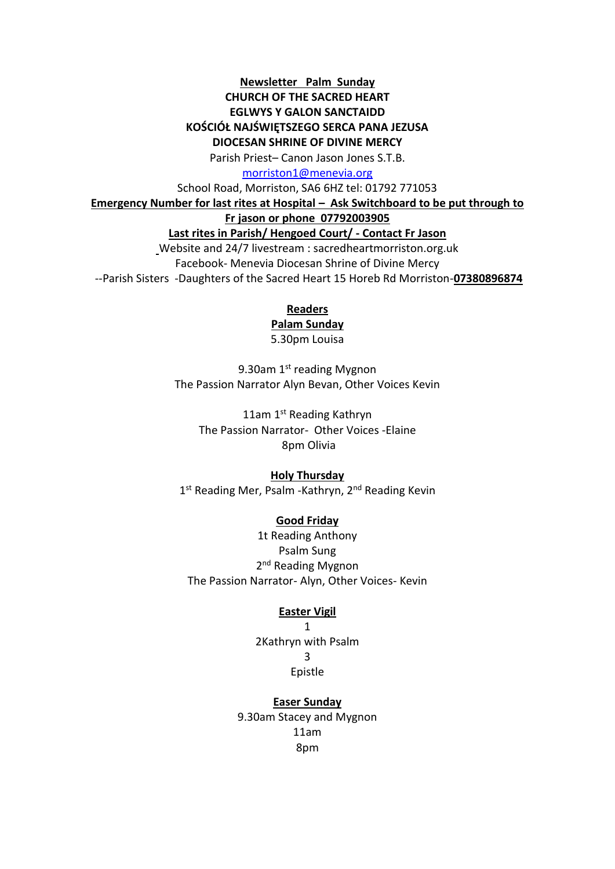# **Newsletter Palm Sunday CHURCH OF THE SACRED HEART EGLWYS Y GALON SANCTAIDD KOŚCIÓŁ NAJŚWIĘTSZEGO SERCA PANA JEZUSA DIOCESAN SHRINE OF DIVINE MERCY**

Parish Priest– Canon Jason Jones S.T.B.

[morriston1@menevia.org](mailto:morriston1@menevia.org)

School Road, Morriston, SA6 6HZ tel: 01792 771053

**Emergency Number for last rites at Hospital – Ask Switchboard to be put through to** 

**Fr jason or phone 07792003905**

### **Last rites in Parish/ Hengoed Court/ - Contact Fr Jason**

Website and 24/7 livestream : sacredheartmorriston.org.uk Facebook- Menevia Diocesan Shrine of Divine Mercy --Parish Sisters -Daughters of the Sacred Heart 15 Horeb Rd Morriston-**07380896874**

**Readers** 

# **Palam Sunday**

5.30pm Louisa

9.30am 1st reading Mygnon The Passion Narrator Alyn Bevan, Other Voices Kevin

11am 1st Reading Kathryn The Passion Narrator- Other Voices -Elaine 8pm Olivia

# **Holy Thursday**

1<sup>st</sup> Reading Mer, Psalm -Kathryn, 2<sup>nd</sup> Reading Kevin

# **Good Friday**

1t Reading Anthony Psalm Sung 2<sup>nd</sup> Reading Mygnon The Passion Narrator- Alyn, Other Voices- Kevin

# **Easter Vigil**

1 2Kathryn with Psalm 3 Epistle

**Easer Sunday** 9.30am Stacey and Mygnon 11am 8pm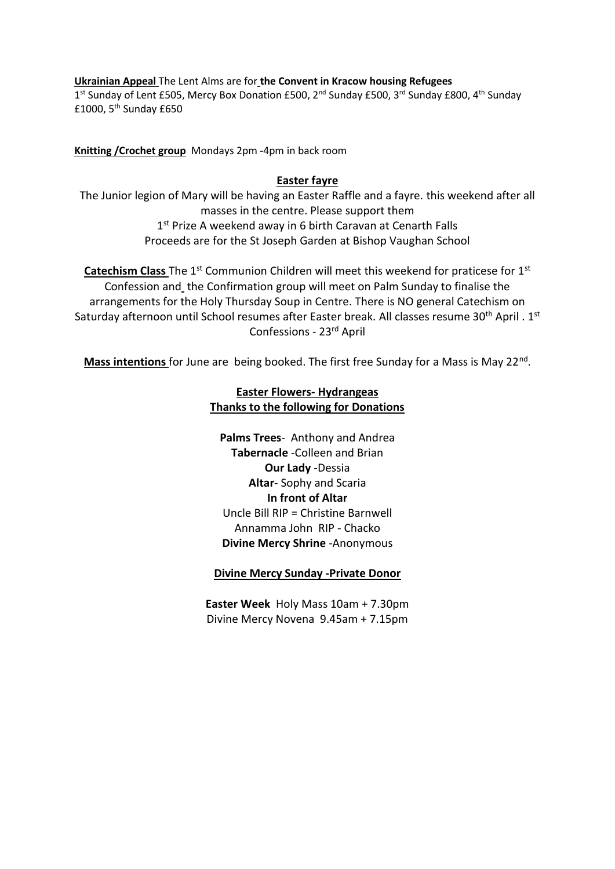**Ukrainian Appeal** The Lent Alms are for **the Convent in Kracow housing Refugees**  1<sup>st</sup> Sunday of Lent £505, Mercy Box Donation £500, 2<sup>nd</sup> Sunday £500, 3<sup>rd</sup> Sunday £800, 4<sup>th</sup> Sunday £1000,  $5<sup>th</sup>$  Sunday £650

**Knitting /Crochet group** Mondays 2pm -4pm in back room

### **Easter fayre**

The Junior legion of Mary will be having an Easter Raffle and a fayre. this weekend after all masses in the centre. Please support them 1<sup>st</sup> Prize A weekend away in 6 birth Caravan at Cenarth Falls Proceeds are for the St Joseph Garden at Bishop Vaughan School

**Catechism Class** The 1<sup>st</sup> Communion Children will meet this weekend for praticese for 1<sup>st</sup> Confession and the Confirmation group will meet on Palm Sunday to finalise the arrangements for the Holy Thursday Soup in Centre. There is NO general Catechism on Saturday afternoon until School resumes after Easter break. All classes resume 30<sup>th</sup> April . 1<sup>st</sup> Confessions - 23rd April

Mass intentions for June are being booked. The first free Sunday for a Mass is May 22<sup>nd</sup>.

# **Easter Flowers- Hydrangeas Thanks to the following for Donations**

**Palms Trees**- Anthony and Andrea **Tabernacle** -Colleen and Brian **Our Lady** -Dessia **Altar**- Sophy and Scaria **In front of Altar**  Uncle Bill RIP = Christine Barnwell Annamma John RIP - Chacko **Divine Mercy Shrine** -Anonymous

# **Divine Mercy Sunday -Private Donor**

**Easter Week** Holy Mass 10am + 7.30pm Divine Mercy Novena 9.45am + 7.15pm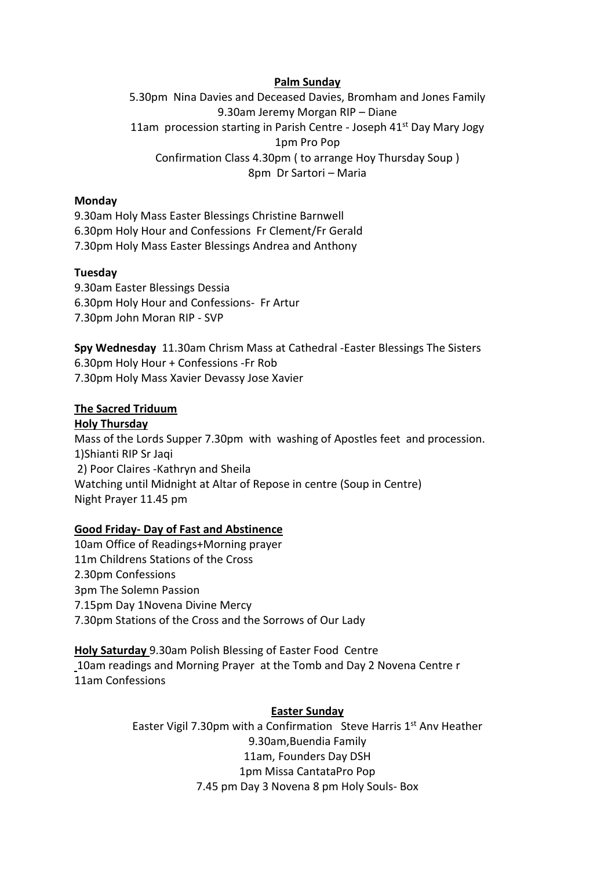### **Palm Sunday**

5.30pm Nina Davies and Deceased Davies, Bromham and Jones Family 9.30am Jeremy Morgan RIP – Diane 11am procession starting in Parish Centre - Joseph 41<sup>st</sup> Day Mary Jogy 1pm Pro Pop Confirmation Class 4.30pm ( to arrange Hoy Thursday Soup ) 8pm Dr Sartori – Maria

### **Monday**

9.30am Holy Mass Easter Blessings Christine Barnwell 6.30pm Holy Hour and Confessions Fr Clement/Fr Gerald 7.30pm Holy Mass Easter Blessings Andrea and Anthony

### **Tuesday**

9.30am Easter Blessings Dessia 6.30pm Holy Hour and Confessions- Fr Artur 7.30pm John Moran RIP - SVP

**Spy Wednesday** 11.30am Chrism Mass at Cathedral -Easter Blessings The Sisters 6.30pm Holy Hour + Confessions -Fr Rob 7.30pm Holy Mass Xavier Devassy Jose Xavier

### **The Sacred Triduum**

#### **Holy Thursday**

Mass of the Lords Supper 7.30pm with washing of Apostles feet and procession. 1)Shianti RIP Sr Jaqi 2) Poor Claires -Kathryn and Sheila Watching until Midnight at Altar of Repose in centre (Soup in Centre) Night Prayer 11.45 pm

### **Good Friday- Day of Fast and Abstinence**

10am Office of Readings+Morning prayer 11m Childrens Stations of the Cross 2.30pm Confessions 3pm The Solemn Passion 7.15pm Day 1Novena Divine Mercy 7.30pm Stations of the Cross and the Sorrows of Our Lady

**Holy Saturday** 9.30am Polish Blessing of Easter Food Centre 10am readings and Morning Prayer at the Tomb and Day 2 Novena Centre r 11am Confessions

### **Easter Sunday**

Easter Vigil 7.30pm with a Confirmation Steve Harris  $1<sup>st</sup>$  Anv Heather 9.30am,Buendia Family 11am, Founders Day DSH 1pm Missa CantataPro Pop 7.45 pm Day 3 Novena 8 pm Holy Souls- Box